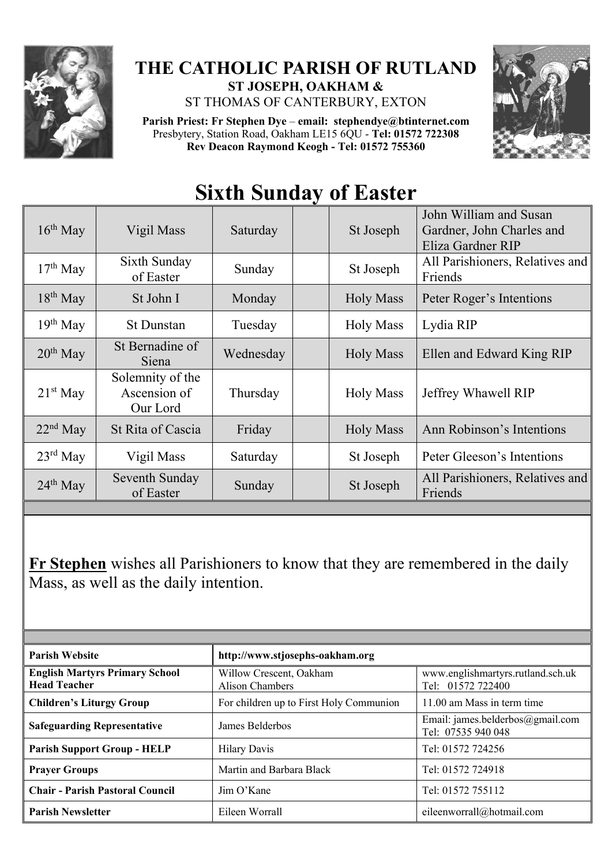

## **THE CATHOLIC PARISH OF RUTLAND ST JOSEPH, OAKHAM &**

ST THOMAS OF CANTERBURY, EXTON

**Parish Priest: Fr Stephen Dye** – **[email: stephendye@btinternet.com](mailto:email:%20%20stephendye@btinternet.com)** Presbytery, Station Road, Oakham LE15 6QU - **Tel: 01572 722308 Rev Deacon Raymond Keogh - Tel: 01572 755360**



## **Sixth Sunday of Easter**

| $16th$ May           | Vigil Mass                                   | Saturday  | St Joseph        | John William and Susan<br>Gardner, John Charles and<br>Eliza Gardner RIP |
|----------------------|----------------------------------------------|-----------|------------------|--------------------------------------------------------------------------|
| $17th$ May           | Sixth Sunday<br>of Easter                    | Sunday    | St Joseph        | All Parishioners, Relatives and<br>Friends                               |
| $18th$ May           | St John I                                    | Monday    | <b>Holy Mass</b> | Peter Roger's Intentions                                                 |
| $19th$ May           | <b>St Dunstan</b>                            | Tuesday   | <b>Holy Mass</b> | Lydia RIP                                                                |
| $20th$ May           | St Bernadine of<br>Siena                     | Wednesday | <b>Holy Mass</b> | Ellen and Edward King RIP                                                |
| $21st$ May           | Solemnity of the<br>Ascension of<br>Our Lord | Thursday  | <b>Holy Mass</b> | Jeffrey Whawell RIP                                                      |
| $22nd$ May           | St Rita of Cascia                            | Friday    | <b>Holy Mass</b> | Ann Robinson's Intentions                                                |
| $23^{\text{rd}}$ May | Vigil Mass                                   | Saturday  | St Joseph        | Peter Gleeson's Intentions                                               |
| $24th$ May           | Seventh Sunday<br>of Easter                  | Sunday    | St Joseph        | All Parishioners, Relatives and<br>Friends                               |

**Fr Stephen** wishes all Parishioners to know that they are remembered in the daily Mass, as well as the daily intention.

| <b>Parish Website</b>                                        | http://www.stjosephs-oakham.org            |                                                        |  |  |
|--------------------------------------------------------------|--------------------------------------------|--------------------------------------------------------|--|--|
| <b>English Martyrs Primary School</b><br><b>Head Teacher</b> | Willow Crescent, Oakham<br>Alison Chambers | www.englishmartyrs.rutland.sch.uk<br>Tel: 01572 722400 |  |  |
| <b>Children's Liturgy Group</b>                              | For children up to First Holy Communion    | 11.00 am Mass in term time                             |  |  |
| <b>Safeguarding Representative</b>                           | James Belderbos                            | Email: james.belderbos@gmail.com<br>Tel: 07535 940 048 |  |  |
| <b>Parish Support Group - HELP</b>                           | <b>Hilary Davis</b>                        | Tel: 01572 724256                                      |  |  |
| <b>Prayer Groups</b>                                         | Martin and Barbara Black                   | Tel: 01572 724918                                      |  |  |
| <b>Chair - Parish Pastoral Council</b>                       | $\lim$ O'Kane                              | Tel: 01572 755112                                      |  |  |
| <b>Parish Newsletter</b>                                     | Eileen Worrall                             | eileenworrall@hotmail.com                              |  |  |